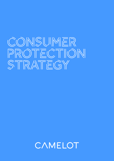# **CONSUMER** PROTECTION **STRATEGY**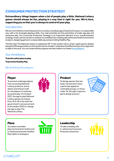## CONSUMER PROTECTION STRATEGY

Extraordinary things happen when a lot of people play a little. National Lottery games should always be fun, playing in a way that is right for you. We're here, supporting you so that you're always in control of your play.

## **Introduction**

We are committed to maximising returns to society, including supporting Good Causes, in a responsible way, with a lot of people playing a little. Our main priorities are the prevention of under age play and excessive play. Our Consumer Protection Strategy is an important element of our overall business strategy. It sets out how we aim to achieve our ambitions by creating safe online and retail environments to play in, designing games in a responsible way and promoting Healthy Play.

The fact that The National Lottery is ranked just 59<sup>th</sup> in the world in terms of per capita spend, despite being the fifth largest lottery in the world in terms of sales1, underlines the effectiveness of our approach to date in this area. You can review all the progress we have made in our latest Annual Report.

## Our Ambitions

To be the safest place to play

To promote Healthy Play

#### We do this by focusing on:

## Player

To prevent underage players from accessing National Lottery products, and to detect and interact with at-risk players to minimise excessive play. On 22 April 2021, the age to play National Lottery games increased from 16 to 18 in line with the government's announcement in December 2020 to change the age to play The National Lottery.



## **Product**

To design games that are lower risk and don't have a particular appeal to vulnerable groups, or those under 18, through a rigorous game design process.



## Place

To create controlled play environments (online and in retail) and promote Healthy Play habits to all players.



## Leadership

To take a leading role in advancing Consumer Protection practices.

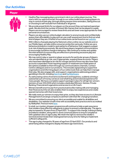## Our Activities

#### Player



- Healthy Play messaging plays a prominent role in our online player journey. This starts with our welcome email, through to our online toolkit encouraging players to stay in control of their play, through setting session time reminders, taking time out or choosing to self-exclude from individual or all games.
- We provide preset limits for our players on the amount they can load and spend per week. We also limit the number of Instant Win Games that can be played in a week. Players are encouraged to review these limits and set lower ones appropriate for their personal circumstances.
- Players can also use our online budget calculator to anonymously and confidentially assess their affordability to play and can use a self-assessment tool to find out what kind of player they are. A full list of our online tools can be found on our [website](https://www.national-lottery.co.uk/responsible-play).
- With millions of people playing the National Lottery online via our website and on our Mobile Apps, we take online consumer protection seriously. Online we use a behavioural analytics model to spot patterns of behaviour that suggests a player is at-risk of playing excessively. We send these players targeted communications to encourage a positive change in behaviour. We continue to review and update the interventions to ensure they are effective in preventing excessive play and encouraging Healthy Play.
- We may restrict play or spend on player accounts for particular groups of players who are identified as at-risk, and, if appropriate, suspend these accounts. Players who have been identified as at-risk for a longer period of time may also have their accounts suspended.Those requiring support or treatment are made aware of the options available to them through our communications channels, Contact Centre colleagues and on our products. This includes signposting to supportive organisations and informing players of our online tools that can help them manage their play. We also engage with, and support, organisations addressing problem gambling in the UK, including [GamCare](https://www.gamcare.org.uk/) and [GambleAware](https://about.gambleaware.org/).
- As well as being a time of extreme excitement and happiness, suddenly winning a substantial sum of money can be an overwhelming and emotional experience for many people. We have a complete support package in place for all high tier winners (winners of over £50,000) which includes a dedicated Winners' Advisor, Private Banking, Financial and Legal advice and access to a Life Coach.
- Winners benefit enormously from practical advice like making wills and managing their finances but the win also enables them to enjoy new experiences and create special memories with their loved ones.
- We really want our winners to enjoy their prize, so they also have access to a Lifestyle Management/Concierge company to aid them with their life-changing transition.
- We are committed to ensuring our site is accessible and usable for all abilities and disabilities. Our website is built in line with accessibility best practice and is accredited by AbilityNet. Find out more [here.](https://abilitynet.org.uk/)
- In retail, our mystery shopper programme will continue to help us gain assurance that retailers have effective safeguards in place to prevent underage play. The age to play increased to 18 years from 22 April 2021. To support this change, training is being provided to retailers, along with in-store communications to ensure compliance with updated rules on age to play. We retain the right to remove the retailer's terminal and terminate their retail agreement at any time for failing to implement sufficient safeguards.
- The age to play changed to 18 years of age from 22 April 2021. Our products and advertising will be changed to display the latest age restrictions.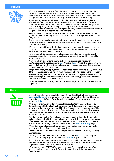#### Product



- We have a robust Responsible Game Design Process in place to ensure that the games we design are safe to play. This process is overseen by our Game Risk Evaluation Team, with representatives across Camelot and the process is reviewed each year to ensure it is effective, adding enhancements where necessary.
- All games are risk-assessed, ensuring that they are responsible in their design. We use both GamGard and Asterig, tools which assess the risk levels of a game's structural and situational characteristics, and a risk checklist to identify any further risks posed by the game; for example, ensuring that the design doesn't have a particular appeal to children. This is complemented by enhanced research and review for games that are significantly new and different.
- If any of these tools identify a risk level which is too high, we will either revise the game and/or our marketing approach. If the risk remains too high, we will not launch the game at all.
- All relevant teams receive annual training on game design and advertising to ensure games are designed, marketed and advertised in a way that supports our ambition to promote Healthy Play.
- We are committed to ensuring that our employees understand our commitments to consumer protection and support them in their daily operations, with extra training for those in direct contact with players.
- For example, all Contact Centre employees are trained on how to spot signs of excessive play and what to do as a result, as well as receiving monthly Healthy Play knowledge tests.
- All of our advertising and marketing is checked to ensure it complies with theAdvertising Standards Authority [CAP](https://www.asa.org.uk/codes-and-rulings/advertising-codes/non-broadcast-code.html) Code and [BCAP](https://www.asa.org.uk/codes-and-rulings/advertising-codes/broadcast-code.html) Code. The Codes promote safe marketing, in particular the need to prevent young people under 18 from being harmed by any unsafe advertising.
- Targeting to anonymous players (those not logged into an account) is only carried out if the user has agreed to Camelot's marketing cookie being placed on their browser.
- National Lottery account holders are able to opt in and out of personalisation via their account settings. All communications with National Lottery players are in line with the Data Protection Act 2018 and PECR.
- Online we have a rigorous registration process with age verification checks to ensure players are 18+.

#### Place



- Our ambition is for lots of people to play a little, and our Healthy Play messaging [Dream Big Play Small](https://www.national-lottery.co.uk/responsible-play?icid=bsp:na:tx) reminds our players of how we want them to play. It features on media screens in Retail, Draw-based games tickets, Scratchcard advertising and our [website.](https://www.national-lottery.co.uk/)
- We provide information and training to all National Lottery retailers through our Being a Responsible Retailer training programme. This sets out our requirements and expectations on how to support Healthy Play and prevent underage play. This is communicated through a range of leaflets, information packs, terminal messaging, terminal printouts, articles in our bi monthly Jackpot magazine, face-to-face visits and telephone calls.
- Our Supporting Healthy Play training programme for all National Lottery retailers includes simplified guidelines and training to ensure retailers have an understanding of excessive play and the right tools to be able to support players if appropriate, such as a terminal printout signposting to GamCare and our [Responsible Play](https://www.national-lottery.co.uk/responsible-play) page.
- We continue to evaluate the effectiveness of our retailer training programme to improve retailer confidence and understanding.
- Retailers have been trained to advise and provide information to players, including Games Rules.
- Our Players' Guide is available at retail outlets and on our [website,](https://www.national-lottery.co.uk/games/in-store/players-guide) outlining our approach to Healthy Play and includes the [GamCare](https://www.gamcare.org.uk/) helpline details.
- Through online personalisation, we have increased Healthy Play messaging to players identified as at-risk and removed the promotion of Instant Win Games to these players on the National Lottery website home page.
- We integrated with GAMSTOP for our Instant Win Games which provides a free service for players to self-exclude from online gambling websites and apps in Great Britain.